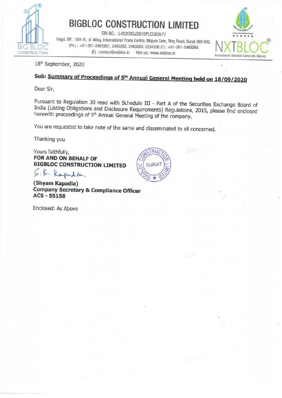

BIGBLOC CONSTRUCTION LIMITED<br>
Fregd. Off. : 601-B, 'A' Wing, International Trade Centre, Majura Gate, Ring Road, Surat-395 002. NIXTRIO LATTER LATTER (Ph.): +91-261-2463261, 2463262, 2463263, 3234330 (F): +91-261-2463264<br>CONSTRUCTION (E): contact@nxtbloc.in Visit us.: www.nxtbloc.in Autoclaved Aerated Concrete Blocks



18" September, 2020

# Sub: Summary of Proceedings of 5<sup>th</sup> Annual General Meeting held on 18/09/2020

Dear Sir,

Pursuant to Regulation 30 read with Schedule III - Part A of the Securities Exchange Board of India (Listing Obligations and Disclosure Requirements) Regulations, 2015, please find enclosed herewith proceedings of 5<sup>th</sup> An

You are requested to take note of the same and disseminated to all concerned.

Thanking you

Yours faithfully, FOR AND ON BEHALF OF BIGBLOC CONSTRUCTION LIMITED

S.B. Kapadia

(Shyam Kapadia) Company Secretary & Compliance Officer ACS - 55158

 Enclosed: As Above

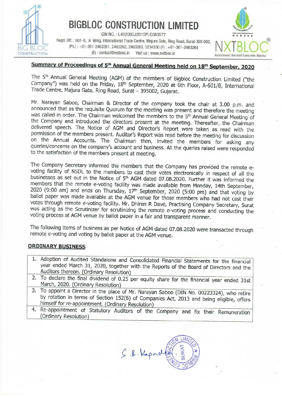

# **BIGBLOC CONSTRUCTION LIMITED**

CIN NO.: L45200GJ2015PLC083577 Regd. Off. : 601-B, 'A' Wing, International Trade Centre, Majura Gate, Ring Road, Surat-395 002.<br>(Ph.) : +91-261-2463261, 2463262, 2463263, 3234330 (F) : +91-261-2463264<br>(E) : contact@nxtbloc.in Visit us : www.nxtbloc.in Visit us : www.nxtbloc.in



## Summary of Proceedings of 5<sup>th</sup> Annual General Meeting held on 18<sup>th</sup> September, 2020

The 5<sup>th</sup> Annual General Meeting (AGM) of the members of Bigbloc Construction Limited ("the Company") was held on the Friday, 18<sup>th</sup> September, 2020 at 6th Floor, A-601/B, International Trade Centre, Majura Gate, Ring Road

Mr. Narayan Saboo, Chairman & Director of the company took the chair at 3.00 p.m. and<br>announced that as the requisite Quorum for the meeting was present and therefore the meeting<br>was called in order. The Chairman welcomed

businesses as set out in the Notice of 5<sup>th</sup> AGM<br>members that the remote e-voting facility was<br>2020 (9:00 am) and ends on Thursday, 17<sup>th</sup> Sallot paper was made available at the AGM verses through remote e-voting facility The Company Secretary informed the members that the Company has provided the remote e-<br>voting facility of NSDL to the members to cast their votes electronically in respect of all the<br>businesses as set out in the Notice of ETRUCTION<br>
EFICTION (EFICTION 1917)<br> **Summary of Proceedings of 5th Annual Ge**<br>
The 5th Annual General Meeting (AGM) of the<br>
Company'') was held on the Friday, 18th September of<br>
Trade Centre, Majura Gate, Ring Road, Sura Rega. Off. : 601-B, A' Wing, International Trade Cent<br>
ELOC (Ph.): +91-261-2463261, 2463262, 246326<br>
(E): contact@nxtbloc.in Visi<br>
Summary of Proceedings of 5<sup>th</sup> Annual Ger<br>
The 5<sup>th</sup> Annual General Meetting (AGM) of the

The following items of business as per Notice of AGM dated 07.08.2020 were transacted through remote e-voting and voting by ballot paper at the AGM venue.

### ORDINARY BUSINESS

- 1. Adoption of Audited Standalone and Consolidated Financial Statements for the financial year ended March 31, 2020, together with the Reports of the Board of Directors and the Auditors thereon. (Ordinary Resolution)
- 2. To declare the final dividend of 0.25 per equity share for the financial year ended 31st<br>March, 2020. (Ordinary Resolution)<br>3. To appoint a Director in the place of Mr. Narayan Saboo (DIN No. 00223324), who retire
- by rotation in terms of Section 152(6) of Companies Act, 2013 and being eligible, offers<br>himself for re-appointment. (Ordinary Resolution)<br>4. Re-appointment of Statutory Auditors of the Company and fix their Remuneration<br>(
- \_\_\_\_\_\_\_

and Consolidated Financial Statem<br>ther with the Reports of the Board<br>ion)<br>0.25 per equity share for the financial<br>of Mr. Narayan Saboo (DIN No. C<br>22(6) of Companies Act, 2013 and<br>ary Resolution)<br>ditors of the Company and